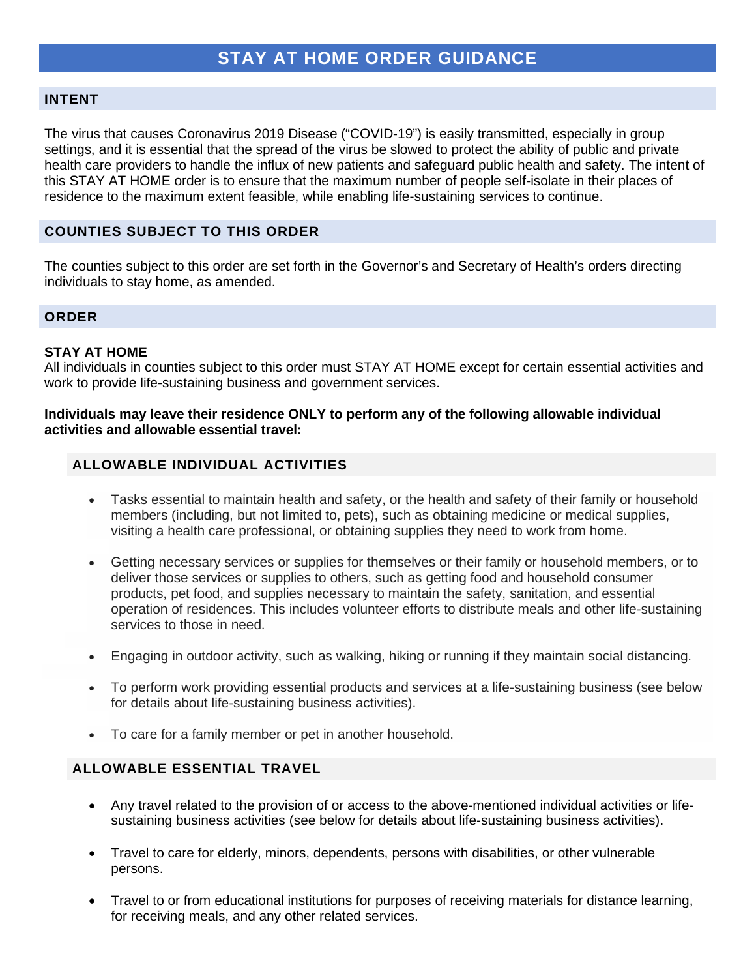#### **INTENT**

The virus that causes Coronavirus 2019 Disease ("COVID-19") is easily transmitted, especially in group settings, and it is essential that the spread of the virus be slowed to protect the ability of public and private health care providers to handle the influx of new patients and safeguard public health and safety. The intent of this STAY AT HOME order is to ensure that the maximum number of people self-isolate in their places of residence to the maximum extent feasible, while enabling life-sustaining services to continue.

## **COUNTIES SUBJECT TO THIS ORDER**

The counties subject to this order are set forth in the Governor's and Secretary of Health's orders directing individuals to stay home, as amended.

#### **ORDER**

#### **STAY AT HOME**

All individuals in counties subject to this order must STAY AT HOME except for certain essential activities and work to provide life-sustaining business and government services.

#### **Individuals may leave their residence ONLY to perform any of the following allowable individual activities and allowable essential travel:**

## **ALLOWABLE INDIVIDUAL ACTIVITIES**

- Tasks essential to maintain health and safety, or the health and safety of their family or household members (including, but not limited to, pets), such as obtaining medicine or medical supplies, visiting a health care professional, or obtaining supplies they need to work from home.
- Getting necessary services or supplies for themselves or their family or household members, or to deliver those services or supplies to others, such as getting food and household consumer products, pet food, and supplies necessary to maintain the safety, sanitation, and essential operation of residences. This includes volunteer efforts to distribute meals and other life-sustaining services to those in need.
- Engaging in outdoor activity, such as walking, hiking or running if they maintain social distancing.
- To perform work providing essential products and services at a life-sustaining business (see below for details about life-sustaining business activities).
- To care for a family member or pet in another household.

#### **ALLOWABLE ESSENTIAL TRAVEL**

- Any travel related to the provision of or access to the above-mentioned individual activities or lifesustaining business activities (see below for details about life-sustaining business activities).
- Travel to care for elderly, minors, dependents, persons with disabilities, or other vulnerable persons.
- Travel to or from educational institutions for purposes of receiving materials for distance learning, for receiving meals, and any other related services.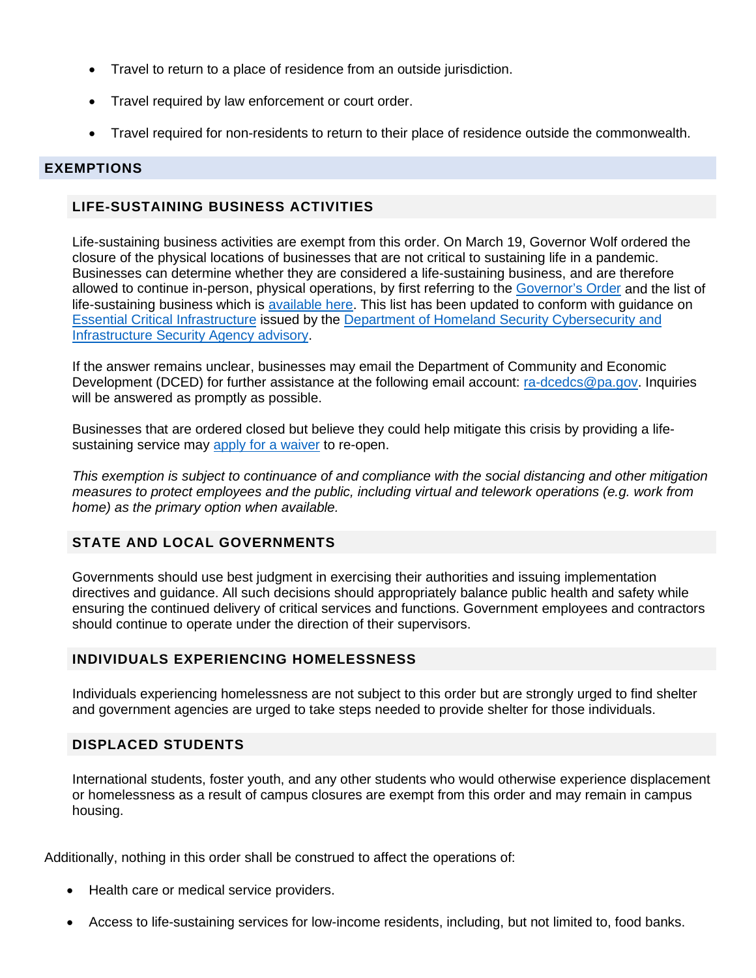- Travel to return to a place of residence from an outside jurisdiction.
- Travel required by law enforcement or court order.
- Travel required for non-residents to return to their place of residence outside the commonwealth.

#### **EXEMPTIONS**

## **LIFE-SUSTAINING BUSINESS ACTIVITIES**

Life-sustaining business activities are exempt from this order. On March 19, Governor Wolf ordered the closure of the physical locations of businesses that are not critical to sustaining life in a pandemic. Businesses can determine whether they are considered a life-sustaining business, and are therefore allowed to continue in-person, physical operations, by first referring to the [Governor's Order](https://www.governor.pa.gov/wp-content/uploads/2020/03/20200319-TWW-COVID-19-business-closure-order.pdf) and the list of life-sustaining business which is [available here.](https://www.scribd.com/document/452547980/UPDATED-LIST-Industry-Operation-Guidance-March-20-2020) This list has been updated to conform with guidance on [Essential Critical Infrastructure](https://www.cisa.gov/publication/guidance-essential-critical-infrastructure-workforce) issued by the [Department of Homeland Security Cybersecurity and](https://www.cisa.gov/identifying-critical-infrastructure-during-covid-19)  [Infrastructure Security Agency advisory.](https://www.cisa.gov/identifying-critical-infrastructure-during-covid-19)

If the answer remains unclear, businesses may email the Department of Community and Economic Development (DCED) for further assistance at the following email account: [ra-dcedcs@pa.gov.](mailto:ra-dcedcs@pa.gov) Inquiries will be answered as promptly as possible.

Businesses that are ordered closed but believe they could help mitigate this crisis by providing a lifesustaining service may [apply for a waiver](https://expressforms.pa.gov/apps/pa/DCED/Waiver-process-keeping-physical-locations-open) to re-open.

*This exemption is subject to continuance of and compliance with the social distancing and other mitigation measures to protect employees and the public, including virtual and telework operations (e.g. work from home) as the primary option when available.*

## **STATE AND LOCAL GOVERNMENTS**

Governments should use best judgment in exercising their authorities and issuing implementation directives and guidance. All such decisions should appropriately balance public health and safety while ensuring the continued delivery of critical services and functions. Government employees and contractors should continue to operate under the direction of their supervisors.

## **INDIVIDUALS EXPERIENCING HOMELESSNESS**

Individuals experiencing homelessness are not subject to this order but are strongly urged to find shelter and government agencies are urged to take steps needed to provide shelter for those individuals.

## **DISPLACED STUDENTS**

International students, foster youth, and any other students who would otherwise experience displacement or homelessness as a result of campus closures are exempt from this order and may remain in campus housing.

Additionally, nothing in this order shall be construed to affect the operations of:

- Health care or medical service providers.
- Access to life-sustaining services for low-income residents, including, but not limited to, food banks.